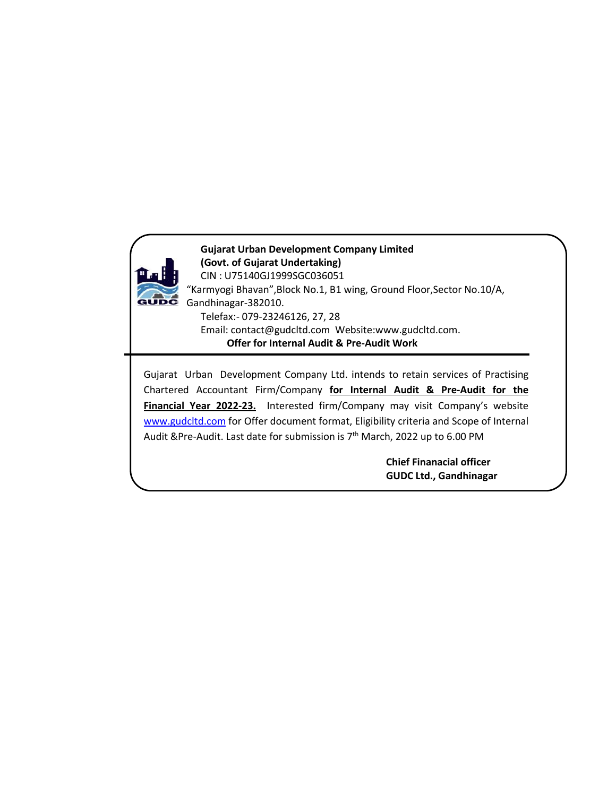

**Gujarat Urban Development Company Limited (Govt. of Gujarat Undertaking)** CIN : U75140GJ1999SGC036051 "Karmyogi Bhavan",Block No.1, B1 wing, Ground Floor,Sector No.10/A, GUDC Gandhinagar-382010. Telefax:- 079-23246126, 27, 28 Email: [contact@gudcltd.com](mailto:contact@gudcltd.com) Website:www.gudcltd.com. **Offer for Internal Audit & Pre-Audit Work**

Gujarat Urban Development Company Ltd. intends to retain services of Practising Chartered Accountant Firm/Company **for Internal Audit & Pre-Audit for the Financial Year 2022-23.** Interested firm/Company may visit Company's website [www.gudcltd.com](http://www.gudcltd.com) for Offer document format, Eligibility criteria and Scope of Internal Audit &Pre-Audit. Last date for submission is 7<sup>th</sup> March, 2022 up to 6.00 PM  $\vert$ 

> **Chief Finanacial officer GUDC Ltd., Gandhinagar**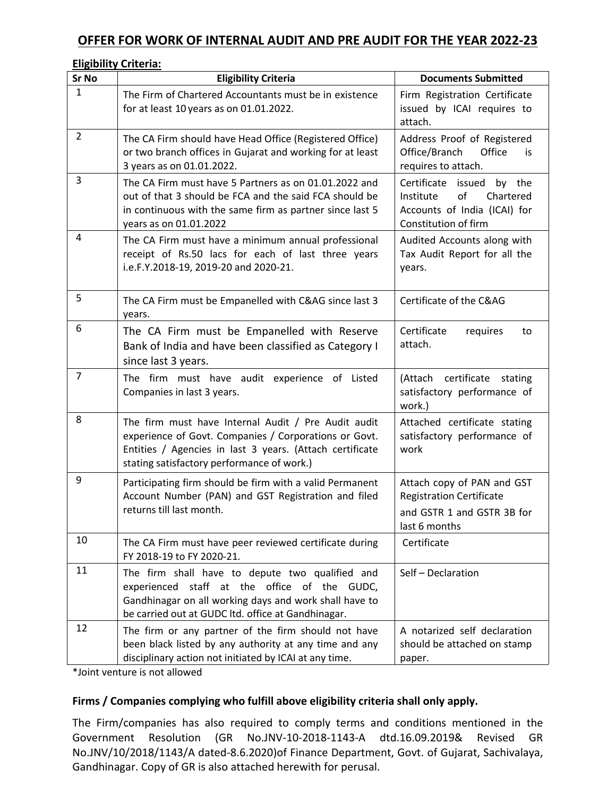# **OFFER FOR WORK OF INTERNAL AUDIT AND PRE AUDIT FOR THE YEAR 2022-23**

#### **Eligibility Criteria:**

| Sr No          | <b>Eligibility Criteria</b>                                                                                                                                                                                            | <b>Documents Submitted</b>                                                                                        |
|----------------|------------------------------------------------------------------------------------------------------------------------------------------------------------------------------------------------------------------------|-------------------------------------------------------------------------------------------------------------------|
| 1              | The Firm of Chartered Accountants must be in existence<br>for at least 10 years as on 01.01.2022.                                                                                                                      | Firm Registration Certificate<br>issued by ICAI requires to<br>attach.                                            |
| $\overline{2}$ | The CA Firm should have Head Office (Registered Office)<br>or two branch offices in Gujarat and working for at least<br>3 years as on 01.01.2022.                                                                      | Address Proof of Registered<br>Office/Branch<br>Office<br>is.<br>requires to attach.                              |
| 3              | The CA Firm must have 5 Partners as on 01.01.2022 and<br>out of that 3 should be FCA and the said FCA should be<br>in continuous with the same firm as partner since last 5<br>years as on 01.01.2022                  | Certificate issued by the<br>of<br>Chartered<br>Institute<br>Accounts of India (ICAI) for<br>Constitution of firm |
| 4              | The CA Firm must have a minimum annual professional<br>receipt of Rs.50 lacs for each of last three years<br>i.e.F.Y.2018-19, 2019-20 and 2020-21.                                                                     | Audited Accounts along with<br>Tax Audit Report for all the<br>years.                                             |
| 5              | The CA Firm must be Empanelled with C&AG since last 3<br>years.                                                                                                                                                        | Certificate of the C&AG                                                                                           |
| 6              | The CA Firm must be Empanelled with Reserve<br>Bank of India and have been classified as Category I<br>since last 3 years.                                                                                             | Certificate<br>requires<br>to<br>attach.                                                                          |
| $\overline{7}$ | The firm must have audit experience of Listed<br>Companies in last 3 years.                                                                                                                                            | (Attach certificate stating<br>satisfactory performance of<br>work.)                                              |
| 8              | The firm must have Internal Audit / Pre Audit audit<br>experience of Govt. Companies / Corporations or Govt.<br>Entities / Agencies in last 3 years. (Attach certificate<br>stating satisfactory performance of work.) | Attached certificate stating<br>satisfactory performance of<br>work                                               |
| 9              | Participating firm should be firm with a valid Permanent<br>Account Number (PAN) and GST Registration and filed<br>returns till last month.                                                                            | Attach copy of PAN and GST<br><b>Registration Certificate</b><br>and GSTR 1 and GSTR 3B for<br>last 6 months      |
| 10             | The CA Firm must have peer reviewed certificate during<br>FY 2018-19 to FY 2020-21.                                                                                                                                    | Certificate                                                                                                       |
| 11             | The firm shall have to depute two qualified and<br>experienced staff at the office of the GUDC,<br>Gandhinagar on all working days and work shall have to<br>be carried out at GUDC ltd. office at Gandhinagar.        | Self - Declaration                                                                                                |
| 12             | The firm or any partner of the firm should not have<br>been black listed by any authority at any time and any<br>disciplinary action not initiated by ICAI at any time.                                                | A notarized self declaration<br>should be attached on stamp<br>paper.                                             |

\*Joint venture is not allowed

# **Firms / Companies complying who fulfill above eligibility criteria shall only apply.**

The Firm/companies has also required to comply terms and conditions mentioned in the Government Resolution (GR No.JNV-10-2018-1143-A dtd.16.09.2019& Revised GR No.JNV/10/2018/1143/A dated-8.6.2020)of Finance Department, Govt. of Gujarat, Sachivalaya, Gandhinagar. Copy of GR is also attached herewith for perusal.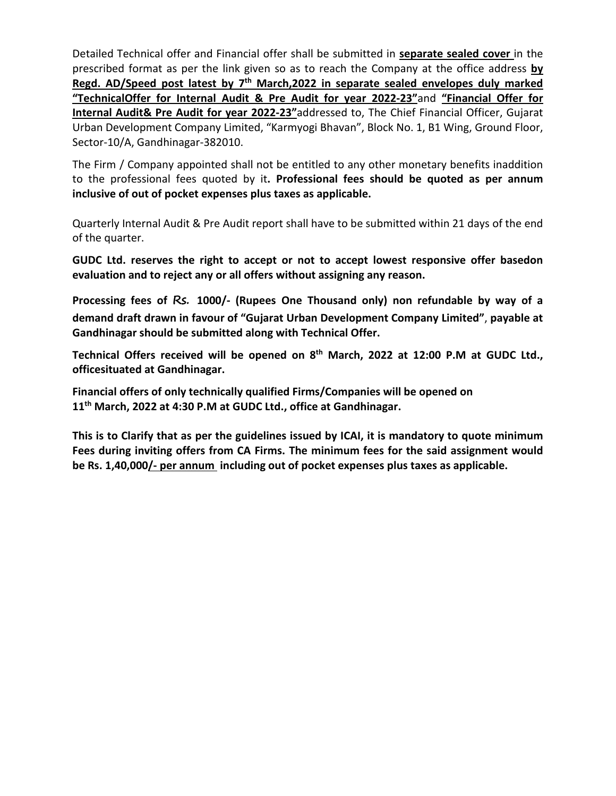Detailed Technical offer and Financial offer shall be submitted in **separate sealed cover** in the prescribed format as per the link given so as to reach the Company at the office address **by Regd. AD/Speed post latest by 7 th March,2022 in separate sealed envelopes duly marked "TechnicalOffer for Internal Audit & Pre Audit for year 2022-23"**and **"Financial Offer for Internal Audit& Pre Audit for year 2022-23"**addressed to, The Chief Financial Officer, Gujarat Urban Development Company Limited, "Karmyogi Bhavan", Block No. 1, B1 Wing, Ground Floor, Sector-10/A, Gandhinagar-382010.

The Firm / Company appointed shall not be entitled to any other monetary benefits inaddition to the professional fees quoted by it**. Professional fees should be quoted as per annum inclusive of out of pocket expenses plus taxes as applicable.**

Quarterly Internal Audit & Pre Audit report shall have to be submitted within 21 days of the end of the quarter.

**GUDC Ltd. reserves the right to accept or not to accept lowest responsive offer basedon evaluation and to reject any or all offers without assigning any reason.**

**Processing fees of Rs. 1000/- (Rupees One Thousand only) non refundable by way of a demand draft drawn in favour of "Gujarat Urban Development Company Limited"**, **payable at Gandhinagar should be submitted along with Technical Offer.**

**Technical Offers received will be opened on 8 th March, 2022 at 12:00 P.M at GUDC Ltd., officesituated at Gandhinagar.**

**Financial offers of only technically qualified Firms/Companies will be opened on 11 th March, 2022 at 4:30 P.M at GUDC Ltd., office at Gandhinagar.**

**This is to Clarify that as per the guidelines issued by ICAI, it is mandatory to quote minimum Fees during inviting offers from CA Firms. The minimum fees for the said assignment would be Rs. 1,40,000/- per annum including out of pocket expenses plus taxes as applicable.**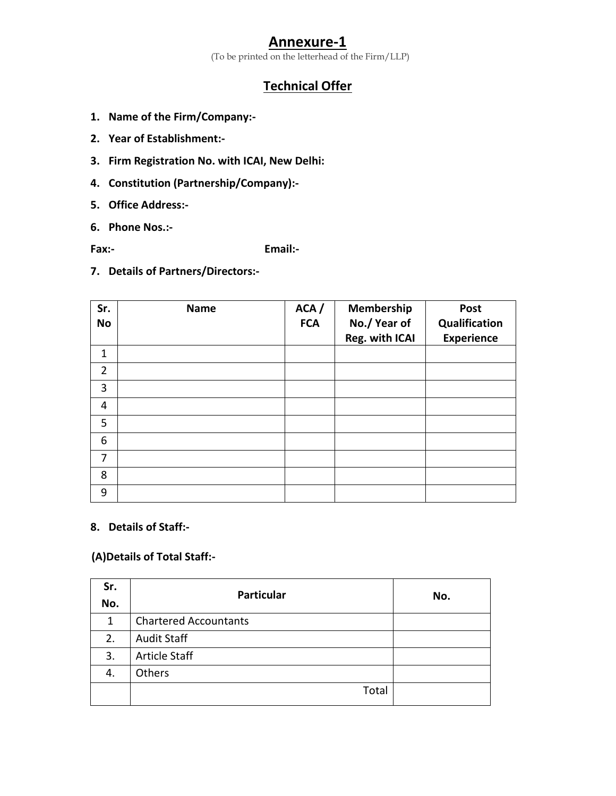# **Annexure-1**

(To be printed on the letterhead of the Firm/LLP)

# **Technical Offer**

- **1. Name of the Firm/Company:-**
- **2. Year of Establishment:-**
- **3. Firm RegistrationNo. with ICAI, New Delhi:**
- **4. Constitution (Partnership/Company):-**
- **5. Office Address:-**
- **6. Phone Nos.:-**

**Fax:- Email:-**

**7. Details of Partners/Directors:-**

| Sr.<br><b>No</b> | <b>Name</b> | ACA /<br><b>FCA</b> | Membership<br>No./Year of<br>Reg. with ICAI | Post<br>Qualification<br><b>Experience</b> |  |
|------------------|-------------|---------------------|---------------------------------------------|--------------------------------------------|--|
| $\mathbf{1}$     |             |                     |                                             |                                            |  |
| $\overline{2}$   |             |                     |                                             |                                            |  |
| 3                |             |                     |                                             |                                            |  |
| $\overline{4}$   |             |                     |                                             |                                            |  |
| 5                |             |                     |                                             |                                            |  |
| 6                |             |                     |                                             |                                            |  |
| $\overline{7}$   |             |                     |                                             |                                            |  |
| 8                |             |                     |                                             |                                            |  |
| 9                |             |                     |                                             |                                            |  |

# **8. Details of Staff:-**

# **(A)Details of Total Staff:-**

| Sr.<br>No.   | <b>Particular</b>            | No. |
|--------------|------------------------------|-----|
| $\mathbf{1}$ | <b>Chartered Accountants</b> |     |
| 2.           | <b>Audit Staff</b>           |     |
| 3.           | <b>Article Staff</b>         |     |
| 4.           | Others                       |     |
|              | Total                        |     |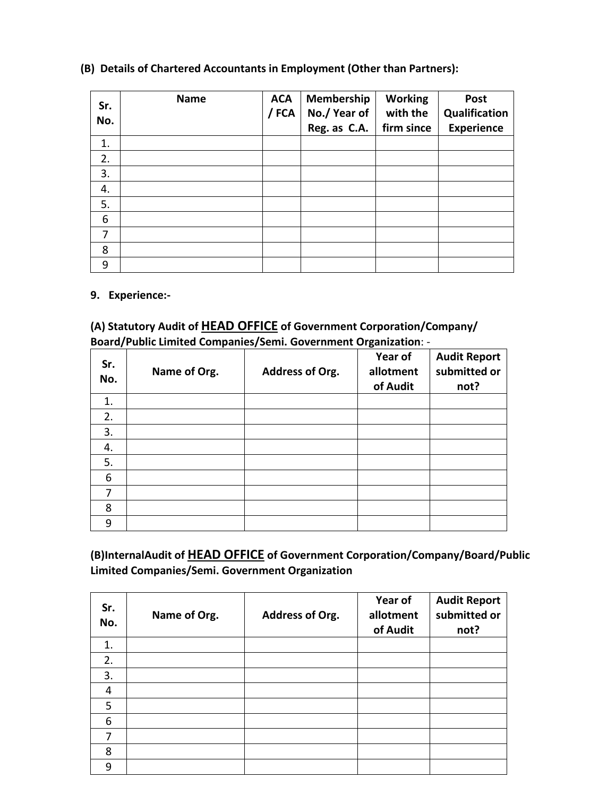| Sr.<br>No.      | <b>Name</b> | <b>ACA</b><br>/ FCA | Membership<br>No./Year of<br>Reg. as C.A. | <b>Working</b><br>with the<br>firm since | Post<br>Qualification<br><b>Experience</b> |
|-----------------|-------------|---------------------|-------------------------------------------|------------------------------------------|--------------------------------------------|
| 1.              |             |                     |                                           |                                          |                                            |
| 2.              |             |                     |                                           |                                          |                                            |
| 3.              |             |                     |                                           |                                          |                                            |
| 4.              |             |                     |                                           |                                          |                                            |
| 5.              |             |                     |                                           |                                          |                                            |
| $6\phantom{1}6$ |             |                     |                                           |                                          |                                            |
| 7               |             |                     |                                           |                                          |                                            |
| 8               |             |                     |                                           |                                          |                                            |
| 9               |             |                     |                                           |                                          |                                            |

# **(B) Details of Chartered Accountants in Employment (Other than Partners):**

### **9. Experience:-**

# **(A) Statutory Audit of HEAD OFFICE of Government Corporation/Company/ Board/Public Limited Companies/Semi. Government Organization**: -

| Sr.<br>No.     | Name of Org. | Address of Org. | Year of<br>allotment<br>of Audit | <b>Audit Report</b><br>submitted or<br>not? |
|----------------|--------------|-----------------|----------------------------------|---------------------------------------------|
| 1.             |              |                 |                                  |                                             |
| 2.             |              |                 |                                  |                                             |
| 3.             |              |                 |                                  |                                             |
| 4.             |              |                 |                                  |                                             |
| 5.             |              |                 |                                  |                                             |
| 6              |              |                 |                                  |                                             |
| $\overline{7}$ |              |                 |                                  |                                             |
| 8              |              |                 |                                  |                                             |
| 9              |              |                 |                                  |                                             |

**(B)InternalAudit of HEAD OFFICE of Government Corporation/Company/Board/Public Limited Companies/Semi. Government Organization**

| Sr.<br>No.     | Name of Org. | Address of Org. | Year of<br>allotment<br>of Audit | <b>Audit Report</b><br>submitted or<br>not? |
|----------------|--------------|-----------------|----------------------------------|---------------------------------------------|
| 1.             |              |                 |                                  |                                             |
| 2.             |              |                 |                                  |                                             |
| 3.             |              |                 |                                  |                                             |
| $\overline{4}$ |              |                 |                                  |                                             |
| 5              |              |                 |                                  |                                             |
| 6              |              |                 |                                  |                                             |
| 7              |              |                 |                                  |                                             |
| 8              |              |                 |                                  |                                             |
| 9              |              |                 |                                  |                                             |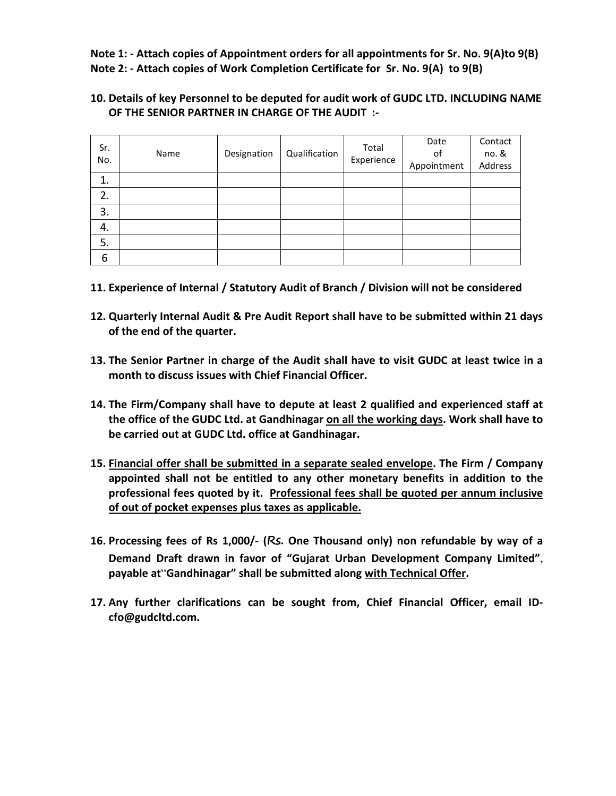**Note 1: - Attach copies of Appointment orders for all appointments for Sr. No. 9(A)to 9(B) Note 2: - Attach copies of Work Completion Certificate for Sr. No. 9(A) to 9(B)**

**10. Details of key Personnel to be deputed for audit work of GUDC LTD. INCLUDING NAME OF THE SENIOR PARTNER IN CHARGE OF THE AUDIT :-**

| Sr.<br>No. | Name | Designation | Qualification | Total<br>Experience | Date<br>of<br>Appointment | Contact<br>no. &<br>Address |
|------------|------|-------------|---------------|---------------------|---------------------------|-----------------------------|
| 1<br>⊥.    |      |             |               |                     |                           |                             |
| 2.         |      |             |               |                     |                           |                             |
| 3.         |      |             |               |                     |                           |                             |
| 4.         |      |             |               |                     |                           |                             |
| 5.         |      |             |               |                     |                           |                             |
| 6          |      |             |               |                     |                           |                             |

- **11. Experience of Internal / Statutory Audit of Branch / Division will not be considered**
- **12. Quarterly Internal Audit & Pre Audit Report shall have to be submitted within 21 days of the end of the quarter.**
- **13. The Senior Partner in charge ofthe Audit shall have to visit GUDC at least twice in a month to discuss issues with Chief Financial Officer.**
- **14. The Firm/Company shall have to depute at least 2 qualified and experienced staff at the office of the GUDC Ltd.at Gandhinagar on all the working days. Work shall have to be carried out at GUDC Ltd. office at Gandhinagar.**
- **15. Financial offer shall be submitted in aseparate sealed envelope. The Firm / Company appointed shall not be entitled to any other monetary benefits in addition to the professional fees quoted by it. Professional fees shall be quoted per annum inclusive of out of pocket expenses plus taxes as applicable.**
- **16. Processing fees of Rs 1,000/- (Rs. One Thousand only) non refundable by way of a Demand Draft drawn in favor of "Gujarat Urban Development Company Limited"**,**payable at**"**Gandhinagar" shall be submitted along with Technical Offer.**
- **17. Any further clarifications can be sought from, Chief Financial Officer, email ID [c](mailto:dreamclsurat@gmail.com)fo@gudcltd.com.**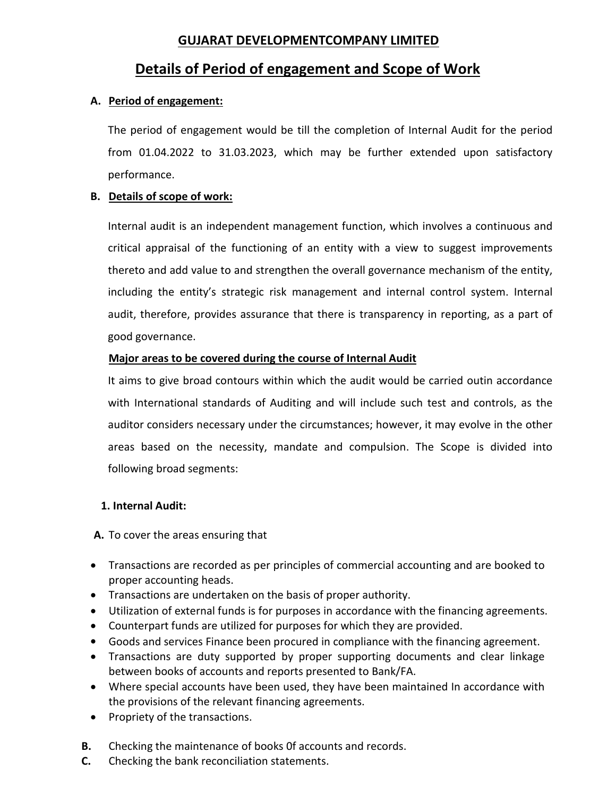# **GUJARAT DEVELOPMENTCOMPANY LIMITED**

# **Details of Period of engagement and Scope of Work**

#### **A. Period of engagement:**

The period of engagement would be till the completion of Internal Audit for the period from 01.04.2022 to 31.03.2023, which may be further extended upon satisfactory performance.

#### **B. Details of scope of work:**

Internal audit is an independent management function, which involves a continuous and critical appraisal of the functioning of an entity with a view to suggest improvements thereto and add value to and strengthen the overall governance mechanism of the entity, including the entity's strategic risk management and internal control system. Internal audit, therefore, provides assurance that there is transparency in reporting, as a part of good governance.

#### **Major areas to be covered during the course of Internal Audit**

It aims to give broad contours within which the audit would be carried outin accordance with International standards of Auditing and will include such test and controls, as the auditor considers necessary under the circumstances; however, it may evolve in the other areas based on the necessity, mandate and compulsion. The Scope is divided into following broad segments:

# **1. Internal Audit:**

**A.** To cover the areas ensuring that

- Transactions are recorded as per principles of commercial accounting and are booked to proper accounting heads.
- Transactions are undertaken on the basis of proper authority.
- Utilization of external funds is for purposes in accordance with the financing agreements.
- Counterpart funds are utilized for purposes for which they are provided.
- Goods and services Finance been procured in compliance with the financing agreement.
- Transactions are duty supported by proper supporting documents and clear linkage between books of accounts and reports presented to Bank/FA.
- Where special accounts have been used, they have been maintained In accordance with the provisions of the relevant financing agreements.
- Propriety of the transactions.
- **B.** Checking the maintenance of books 0f accounts and records.
- **C.** Checking the bank reconciliation statements.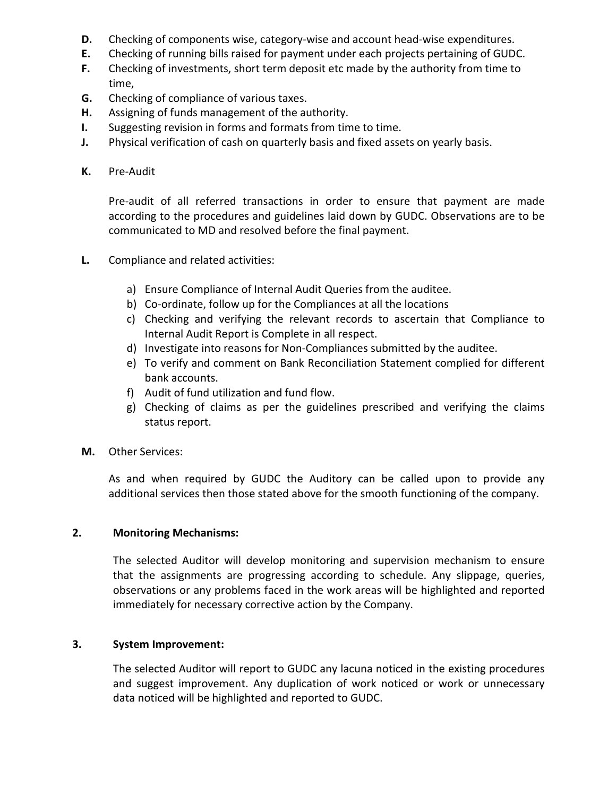- **D.** Checking of components wise, category-wise and account head-wise expenditures.
- **E.** Checking of running bills raised for payment under each projects pertaining of GUDC.
- **F.** Checking of investments, short term deposit etc made by the authority from time to time,
- **G.** Checking of compliance of various taxes.
- **H.** Assigning of funds management of the authority.
- **I.** Suggesting revision in forms and formats from time to time.
- **J.** Physical verification of cash on quarterly basis and fixed assets on yearly basis.
- **K.** Pre-Audit

Pre-audit of all referred transactions in order to ensure that payment are made according to the procedures and guidelines laid down by GUDC. Observations are to be communicated to MD and resolved before the final payment.

- **L.** Compliance and related activities:
	- a) Ensure Compliance of Internal Audit Queries from the auditee.
	- b) Co-ordinate, follow up for the Compliances at all the locations
	- c) Checking and verifying the relevant records to ascertain that Compliance to Internal Audit Report is Complete in all respect.
	- d) Investigate into reasons for Non-Compliances submitted by the auditee.
	- e) To verify and comment on Bank Reconciliation Statement complied for different bank accounts.
	- f) Audit of fund utilization and fund flow.
	- g) Checking of claims as per the guidelines prescribed and verifying the claims status report.
- **M.** Other Services:

As and when required by GUDC the Auditory can be called upon to provide any additional services then those stated above for the smooth functioning of the company.

#### **2. Monitoring Mechanisms:**

The selected Auditor will develop monitoring and supervision mechanism to ensure that the assignments are progressing according to schedule. Any slippage, queries, observations or any problems faced in the work areas will be highlighted and reported immediately for necessary corrective action by the Company.

# **3. System Improvement:**

The selected Auditor will report to GUDC any lacuna noticed in the existing procedures and suggest improvement. Any duplication of work noticed or work or unnecessary data noticed will be highlighted and reported to GUDC.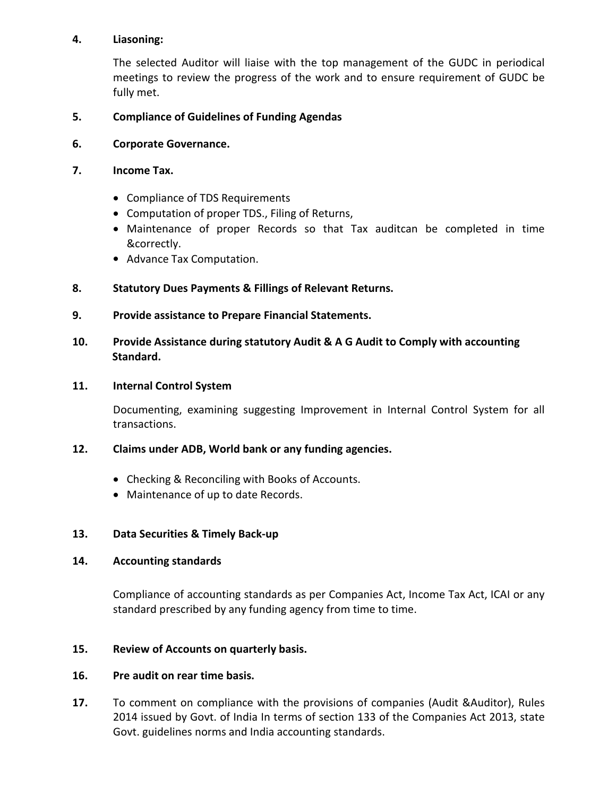#### **4. Liasoning:**

The selected Auditor will liaise with the top management of the GUDC in periodical meetings to review the progress of the work and to ensure requirement of GUDC be fully met.

### **5. Compliance of Guidelines of Funding Agendas**

**6. Corporate Governance.**

#### **7. Income Tax.**

- Compliance of TDS Requirements
- Computation of proper TDS., Filing of Returns,
- Maintenance of proper Records so that Tax auditcan be completed in time &correctly.
- Advance Tax Computation.

#### **8. Statutory Dues Payments & Fillings of Relevant Returns.**

**9. Provide assistance to Prepare Financial Statements.**

#### **10. Provide Assistance during statutory Audit & A G Audit to Comply with accounting Standard.**

#### **11. Internal Control System**

Documenting, examining suggesting Improvement in Internal Control System for all transactions.

#### **12. Claims under ADB, World bank or any funding agencies.**

- Checking & Reconciling with Books of Accounts.
- Maintenance of up to date Records.

#### **13. Data Securities & Timely Back-up**

#### **14. Accounting standards**

Compliance of accounting standards as per Companies Act, Income Tax Act, ICAI or any standard prescribed by any funding agency from time to time.

#### **15. Review of Accounts on quarterly basis.**

#### **16. Pre audit on rear time basis.**

**17.** To comment on compliance with the provisions of companies (Audit &Auditor), Rules 2014 issued by Govt. of India In terms of section 133 of the Companies Act 2013, state Govt. guidelines norms and India accounting standards.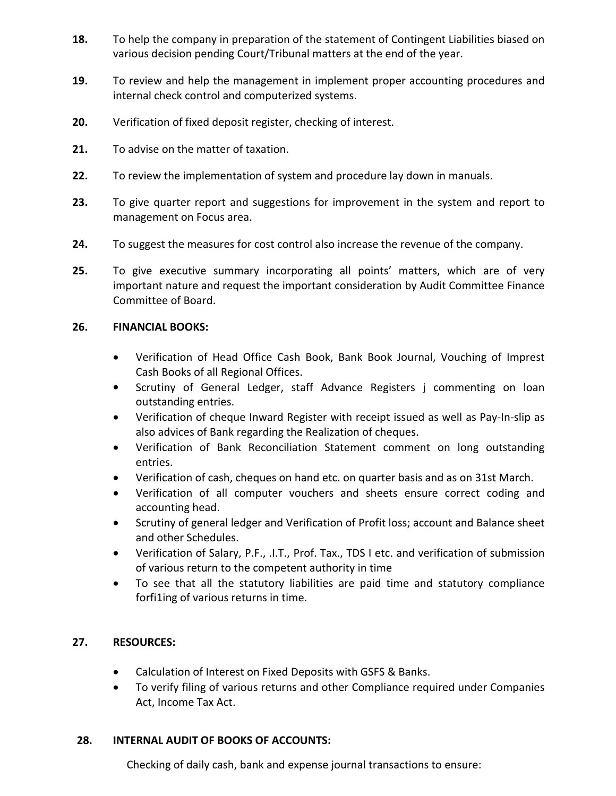- **18.** To help the company in preparation of the statement of Contingent Liabilities biased on various decision pending Court/Tribunal matters at the end of the year.
- **19.** To review and help the management in implement proper accounting procedures and internal check control and computerized systems.
- **20.** Verification of fixed deposit register, checking of interest.
- **21.** To advise on the matter of taxation.
- **22.** To review the implementation of system and procedure lay down in manuals.
- **23.** To give quarter report and suggestions for improvement in the system and report to management on Focus area.
- **24.** To suggest the measures for cost control also increase the revenue of the company.
- **25.** To give executive summary incorporating all points' matters, which are of very important nature and request the important consideration by Audit Committee Finance Committee of Board.

# **26. FINANCIAL BOOKS:**

- Verification of Head Office Cash Book, Bank Book Journal, Vouching of Imprest Cash Books of all Regional Offices.
- Scrutiny of General Ledger, staff Advance Registers *i* commenting on loan outstanding entries.
- Verification of cheque Inward Register with receipt issued as well as Pay-In-slip as also advices of Bank regarding the Realization of cheques.
- Verification of Bank Reconciliation Statement comment on long outstanding entries.
- Verification of cash, cheques on hand etc. on quarter basis and as on 31st March.
- Verification of all computer vouchers and sheets ensure correct coding and accounting head.
- Scrutiny of general ledger and Verification of Profit loss; account and Balance sheet and other Schedules.
- Verification of Salary, P.F., .I.T., Prof. Tax., TDS I etc. and verification of submission of various return to the competent authority in time
- To see that all the statutory liabilities are paid time and statutory compliance forfi1ing of various returns in time.

# **27. RESOURCES:**

- Calculation of Interest on Fixed Deposits with GSFS & Banks.
- To verify filing of various returns and other Compliance required under Companies Act, Income Tax Act.

# **28. INTERNAL AUDIT OF BOOKS OF ACCOUNTS:**

Checking of daily cash, bank and expense journal transactions to ensure: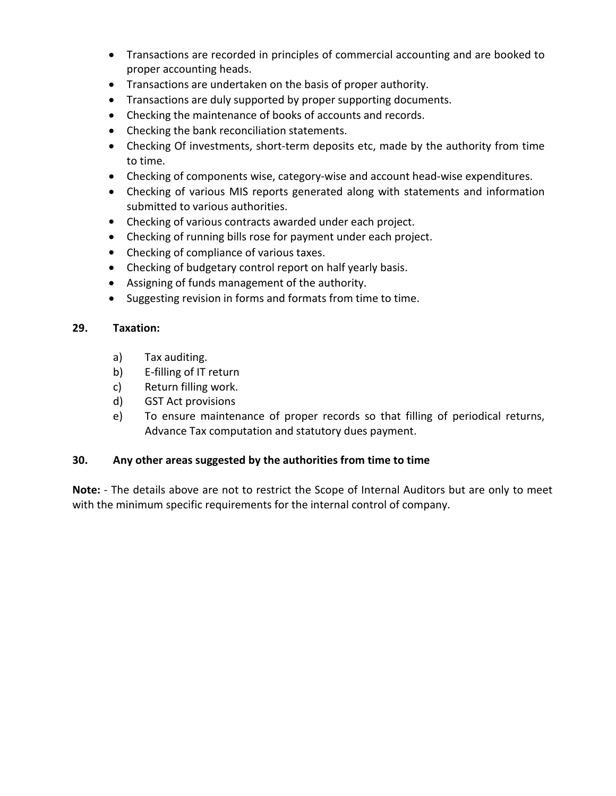- Transactions are recorded in principles of commercial accounting and are booked to proper accounting heads.
- Transactions are undertaken on the basis of proper authority.
- Transactions are duly supported by proper supporting documents.
- Checking the maintenance of books of accounts and records.
- Checking the bank reconciliation statements.
- Checking Of investments, short-term deposits etc, made by the authority from time to time.
- Checking of components wise, category-wise and account head-wise expenditures.
- Checking of various MIS reports generated along with statements and information submitted to various authorities.
- Checking of various contracts awarded under each project.
- Checking of running bills rose for payment under each project.
- Checking of compliance of various taxes.
- Checking of budgetary control report on half yearly basis.
- Assigning of funds management of the authority.
- Suggesting revision in forms and formats from time to time.

#### **29. Taxation:**

- a) Tax auditing.
- b) E-filling of IT return
- c) Return filling work.
- d) GST Act provisions
- e) To ensure maintenance of proper records so that filling of periodical returns, Advance Tax computation and statutory dues payment.

# **30. Any other areas suggested by the authorities from time to time**

**Note:** - The details above are not to restrict the Scope of Internal Auditors but are only to meet with the minimum specific requirements for the internal control of company.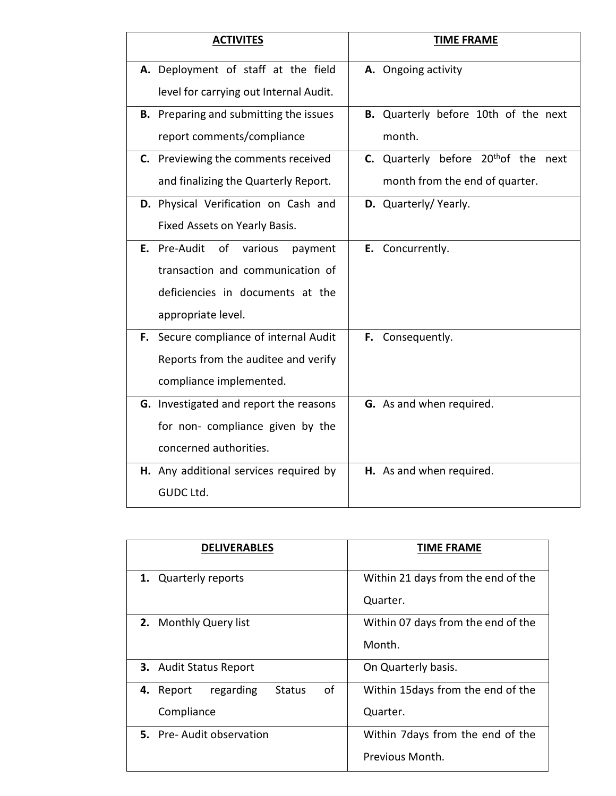| <b>ACTIVITES</b>                              | <b>TIME FRAME</b>                                   |
|-----------------------------------------------|-----------------------------------------------------|
| A. Deployment of staff at the field           | A. Ongoing activity                                 |
| level for carrying out Internal Audit.        |                                                     |
| <b>B.</b> Preparing and submitting the issues | B. Quarterly before 10th of the next                |
| report comments/compliance                    | month.                                              |
| C. Previewing the comments received           | Quarterly before 20 <sup>th</sup> of the next<br>C. |
| and finalizing the Quarterly Report.          | month from the end of quarter.                      |
| D. Physical Verification on Cash and          | D. Quarterly/Yearly.                                |
| Fixed Assets on Yearly Basis.                 |                                                     |
| Pre-Audit<br>of<br>various<br>E.<br>payment   | Concurrently.<br>E.                                 |
| transaction and communication of              |                                                     |
| deficiencies in documents at the              |                                                     |
| appropriate level.                            |                                                     |
| F. Secure compliance of internal Audit        | F. Consequently.                                    |
| Reports from the auditee and verify           |                                                     |
| compliance implemented.                       |                                                     |
| G. Investigated and report the reasons        | G. As and when required.                            |
| for non- compliance given by the              |                                                     |
| concerned authorities.                        |                                                     |
| H. Any additional services required by        | H. As and when required.                            |
| GUDC Ltd.                                     |                                                     |

| <b>DELIVERABLES</b>                           | <b>TIME FRAME</b>                  |
|-----------------------------------------------|------------------------------------|
| <b>Quarterly reports</b><br>1.                | Within 21 days from the end of the |
|                                               | Quarter.                           |
| 2. Monthly Query list                         | Within 07 days from the end of the |
|                                               | Month.                             |
| <b>3.</b> Audit Status Report                 | On Quarterly basis.                |
| of<br>regarding<br><b>Status</b><br>4. Report | Within 15 days from the end of the |
| Compliance                                    | Quarter.                           |
| 5. Pre-Audit observation                      | Within 7 days from the end of the  |
|                                               | Previous Month.                    |